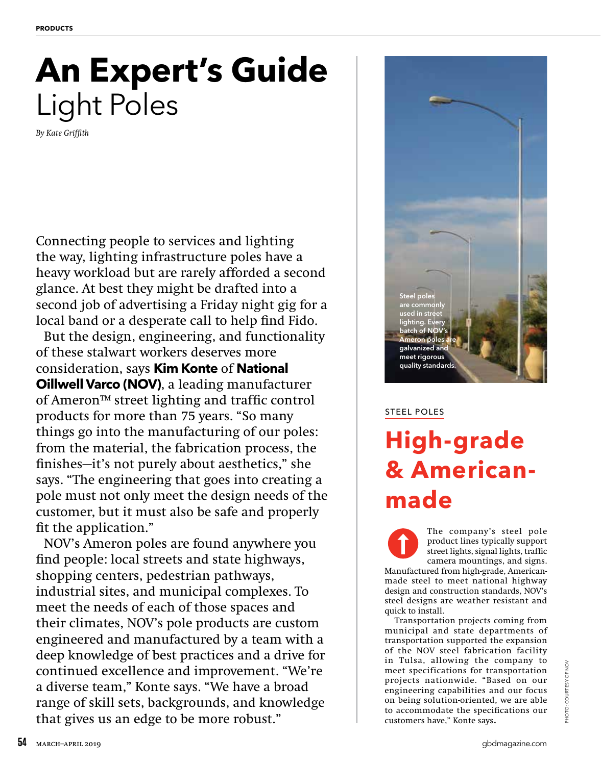# **An Expert's Guide** Light Poles

*By Kate Griffith*

Connecting people to services and lighting the way, lighting infrastructure poles have a heavy workload but are rarely afforded a second glance. At best they might be drafted into a second job of advertising a Friday night gig for a local band or a desperate call to help find Fido.

But the design, engineering, and functionality of these stalwart workers deserves more consideration, says **Kim Konte** of **National Oillwell Varco (NOV)**, a leading manufacturer of Ameron™ street lighting and traffic control products for more than 75 years. "So many things go into the manufacturing of our poles: from the material, the fabrication process, the finishes—it's not purely about aesthetics," she says. "The engineering that goes into creating a pole must not only meet the design needs of the customer, but it must also be safe and properly fit the application."

NOV's Ameron poles are found anywhere you find people: local streets and state highways, shopping centers, pedestrian pathways, industrial sites, and municipal complexes. To meet the needs of each of those spaces and their climates, NOV's pole products are custom engineered and manufactured by a team with a deep knowledge of best practices and a drive for continued excellence and improvement. "We're a diverse team," Konte says. "We have a broad range of skill sets, backgrounds, and knowledge that gives us an edge to be more robust."



### STEEL POLES

## **High-grade & Americanmade**

The company's steel pole product lines typically support street lights, signal lights, traffic camera mountings, and signs. Manufactured from high-grade, Americanmade steel to meet national highway design and construction standards, NOV's steel designs are weather resistant and quick to install.

Transportation projects coming from municipal and state departments of transportation supported the expansion of the NOV steel fabrication facility in Tulsa, allowing the company to meet specifications for transportation projects nationwide. "Based on our engineering capabilities and our focus on being solution-oriented, we are able to accommodate the specifications our customers have," Konte says.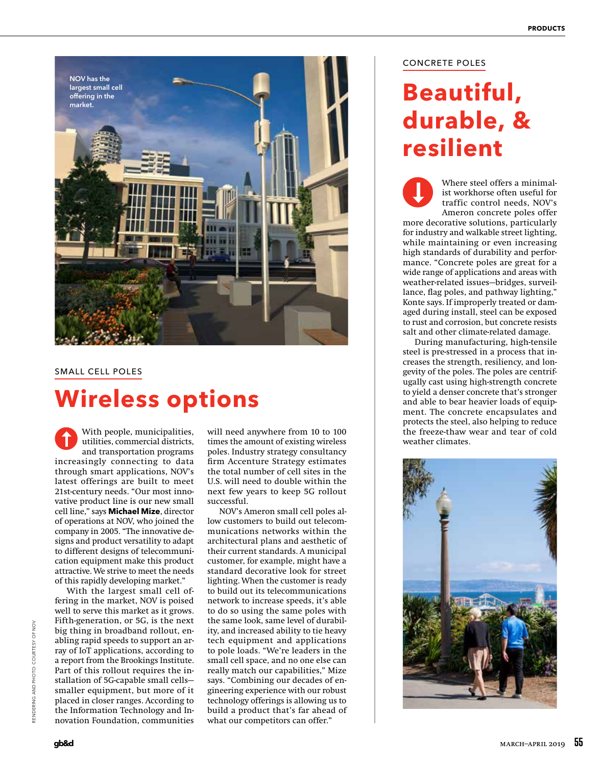

#### SMALL CELL POLES

### **Wireless options**

With people, municipalities, utilities, commercial districts, and transportation programs increasingly connecting to data through smart applications, NOV's latest offerings are built to meet 21st-century needs. "Our most innovative product line is our new small cell line," says **Michael Mize**, director of operations at NOV, who joined the company in 2005. "The innovative designs and product versatility to adapt to different designs of telecommunication equipment make this product attractive. We strive to meet the needs of this rapidly developing market."

With the largest small cell offering in the market, NOV is poised well to serve this market as it grows. Fifth-generation, or 5G, is the next big thing in broadband rollout, enabling rapid speeds to support an array of IoT applications, according to a report from the Brookings Institute. Part of this rollout requires the installation of 5G-capable small cells smaller equipment, but more of it placed in closer ranges. According to the Information Technology and Innovation Foundation, communities

With people, municipalities, will need anywhere from 10 to 100 the freeze-thaw wear and tear of cold utilities, commercial districts, times the amount of existing wireless and transportation programs poles. Industry strate will need anywhere from 10 to 100 times the amount of existing wireless poles. Industry strategy consultancy firm Accenture Strategy estimates the total number of cell sites in the U.S. will need to double within the next few years to keep 5G rollout successful.

> NOV's Ameron small cell poles allow customers to build out telecommunications networks within the architectural plans and aesthetic of their current standards. A municipal customer, for example, might have a standard decorative look for street lighting. When the customer is ready to build out its telecommunications network to increase speeds, it's able to do so using the same poles with the same look, same level of durability, and increased ability to tie heavy tech equipment and applications to pole loads. "We're leaders in the small cell space, and no one else can really match our capabilities," Mize says. "Combining our decades of engineering experience with our robust technology offerings is allowing us to build a product that's far ahead of what our competitors can offer."

#### CONCRETE POLES

### **Beautiful, durable, & resilient**

Where steel offers a minimalist workhorse often useful for traffic control needs, NOV's Ameron concrete poles offer more decorative solutions, particularly for industry and walkable street lighting, while maintaining or even increasing high standards of durability and performance. "Concrete poles are great for a wide range of applications and areas with weather-related issues—bridges, surveillance, flag poles, and pathway lighting," Konte says. If improperly treated or damaged during install, steel can be exposed to rust and corrosion, but concrete resists salt and other climate-related damage.

During manufacturing, high-tensile steel is pre-stressed in a process that increases the strength, resiliency, and longevity of the poles. The poles are centrifugally cast using high-strength concrete to yield a denser concrete that's stronger and able to bear heavier loads of equipment. The concrete encapsulates and protects the steel, also helping to reduce

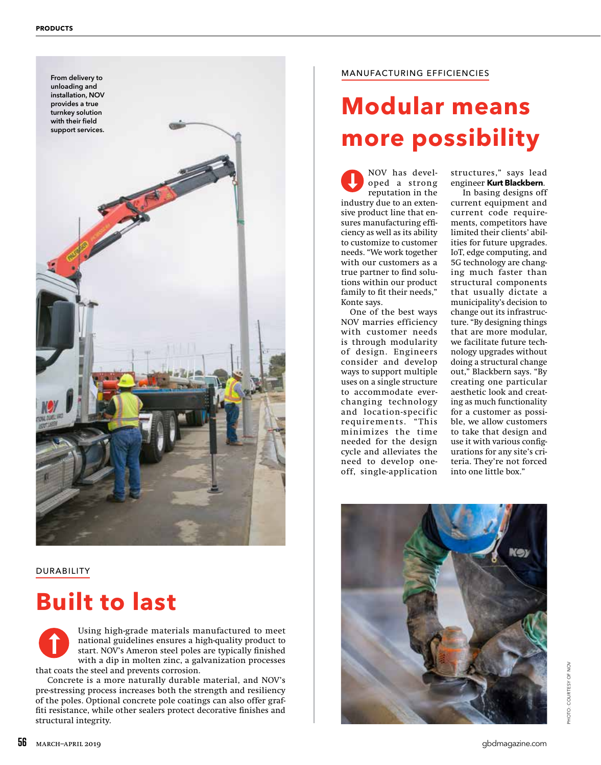

DURABILITY

### **Built to last**

Using high-grade materials manufactured to meet national guidelines ensures a high-quality product to start. NOV's Ameron steel poles are typically finished with a dip in molten zinc, a galvanization processes that coats the steel and prevents corrosion.

Concrete is a more naturally durable material, and NOV's pre-stressing process increases both the strength and resiliency of the poles. Optional concrete pole coatings can also offer graffiti resistance, while other sealers protect decorative finishes and structural integrity.

#### MANUFACTURING EFFICIENCIES

# **Modular means more possibility**

NOV has developed a strong reputation in the industry due to an extensive product line that ensures manufacturing efficiency as well as its ability to customize to customer needs. "We work together with our customers as a true partner to find solutions within our product family to fit their needs," Konte says.

One of the best ways NOV marries efficiency with customer needs is through modularity of design. Engineers consider and develop ways to support multiple uses on a single structure to accommodate everchanging technology and location-specific requirements. "This minimizes the time needed for the design cycle and alleviates the need to develop oneoff, single-application

structures," says lead engineer **Kurt Blackbern**.

In basing designs off current equipment and current code requirements, competitors have limited their clients' abilities for future upgrades. IoT, edge computing, and 5G technology are changing much faster than structural components that usually dictate a municipality's decision to change out its infrastructure. "By designing things that are more modular, we facilitate future technology upgrades without doing a structural change out," Blackbern says. "By creating one particular aesthetic look and creating as much functionality for a customer as possible, we allow customers to take that design and use it with various configurations for any site's criteria. They're not forced into one little box."